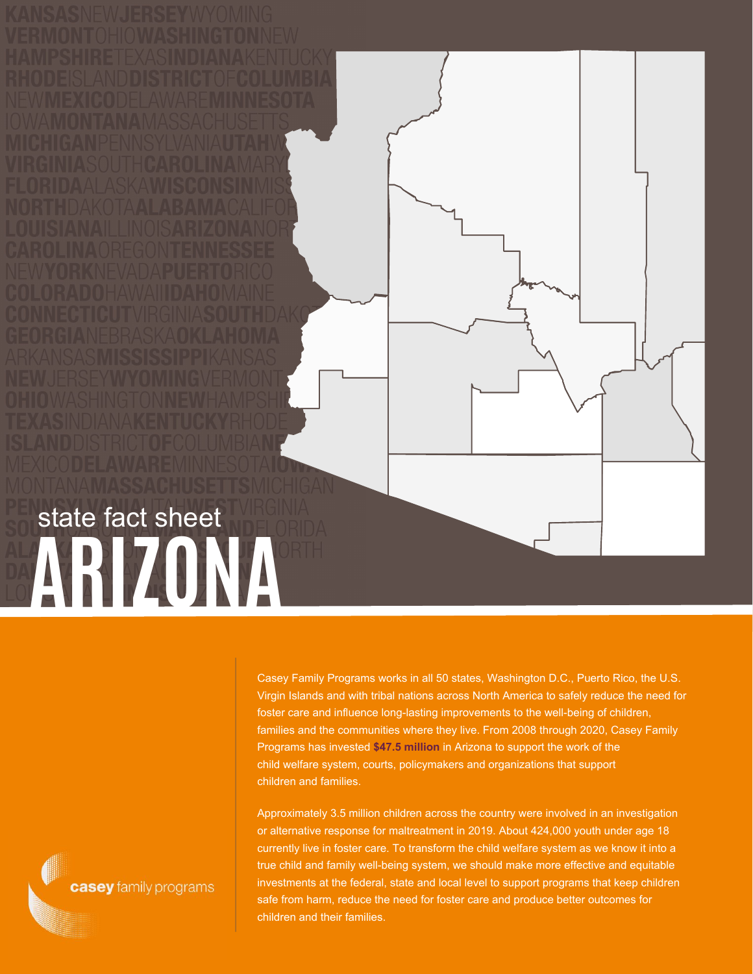## **ARIZONA** state fact sheet

Casey Family Programs works in all 50 states, Washington D.C., Puerto Rico, the U.S. Virgin Islands and with tribal nations across North America to safely reduce the need for foster care and influence long-lasting improvements to the well-being of children, families and the communities where they live. From 2008 through 2020, Casey Family Programs has invested **\$47.5 million** in Arizona to support the work of the child welfare system, courts, policymakers and organizations that support children and families.

Approximately 3.5 million children across the country were involved in an investigation or alternative response for maltreatment in 2019. About 424,000 youth under age 18 currently live in foster care. To transform the child welfare system as we know it into a true child and family well-being system, we should make more effective and equitable investments at the federal, state and local level to support programs that keep children safe from harm, reduce the need for foster care and produce better outcomes for children and their families.

casey family programs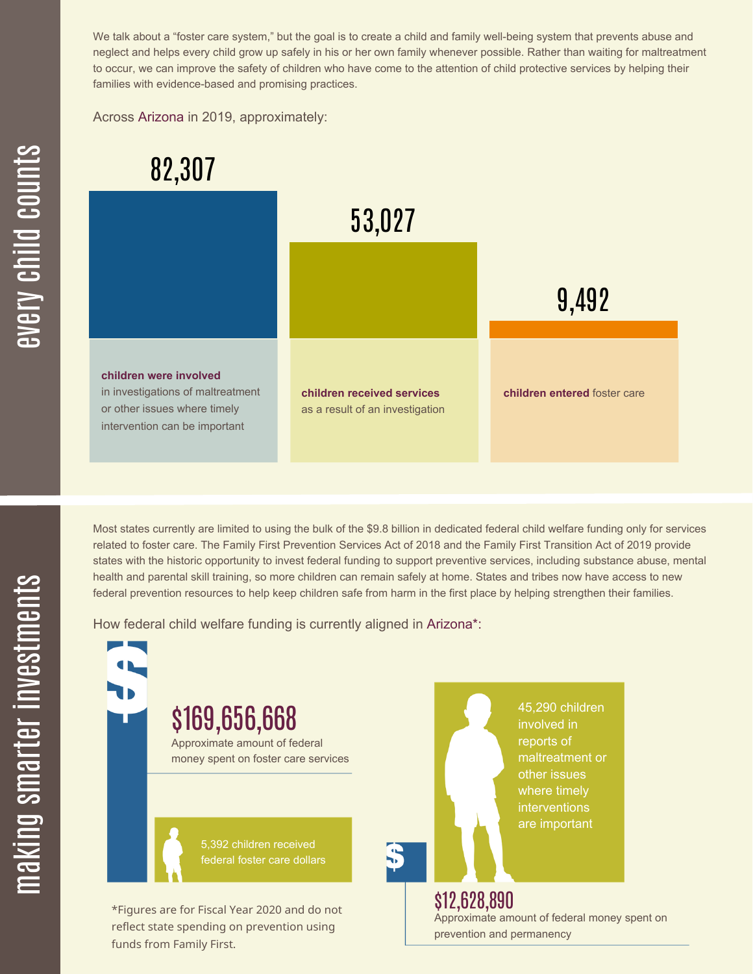We talk about a "foster care system," but the goal is to create a child and family well-being system that prevents abuse and neglect and helps every child grow up safely in his or her own family whenever possible. Rather than waiting for maltreatment to occur, we can improve the safety of children who have come to the attention of child protective services by helping their families with evidence-based and promising practices.

Across Arizona in 2019, approximately:



Most states currently are limited to using the bulk of the \$9.8 billion in dedicated federal child welfare funding only for services related to foster care. The Family First Prevention Services Act of 2018 and the Family First Transition Act of 2019 provide states with the historic opportunity to invest federal funding to support preventive services, including substance abuse, mental health and parental skill training, so more children can remain safely at home. States and tribes now have access to new federal prevention resources to help keep children safe from harm in the first place by helping strengthen their families.

How federal child welfare funding is currently aligned in Arizona\*:

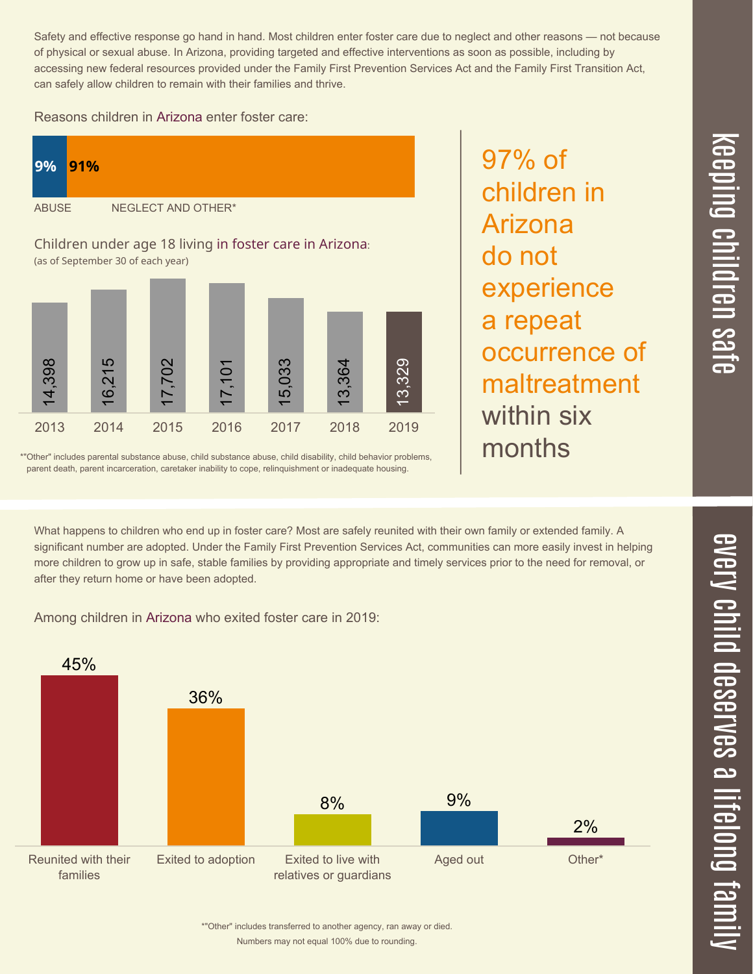Safety and effective response go hand in hand. Most children enter foster care due to neglect and other reasons — not because of physical or sexual abuse. In Arizona, providing targeted and effective interventions as soon as possible, including by accessing new federal resources provided under the Family First Prevention Services Act and the Family First Transition Act, can safely allow children to remain with their families and thrive.

## Reasons children in Arizona enter foster care:



\*"Other" includes parental substance abuse, child substance abuse, child disability, child behavior problems, parent death, parent incarceration, caretaker inability to cope, relinquishment or inadequate housing.

97% of children in Arizona do not experience a repeat occurrence of maltreatment within six months

 $\overline{\mathbf \Theta}$  $\overline{\mathbf{C}}$ <u>pin</u>  $\overline{\mathbf{C}}$  $\overline{\mathbf{C}}$  $\equiv$  $\overline{\mathbf{c}}$  $\overline{\phantom{0}}$  $\boldsymbol{\mathcal{O}}$ a  $\overrightarrow{\mathbf{e}}$ 

 $\overline{\phantom{1}}$ 

What happens to children who end up in foster care? Most are safely reunited with their own family or extended family. A significant number are adopted. Under the Family First Prevention Services Act, communities can more easily invest in helping more children to grow up in safe, stable families by providing appropriate and timely services prior to the need for removal, or after they return home or have been adopted.

Among children in Arizona who exited foster care in 2019: